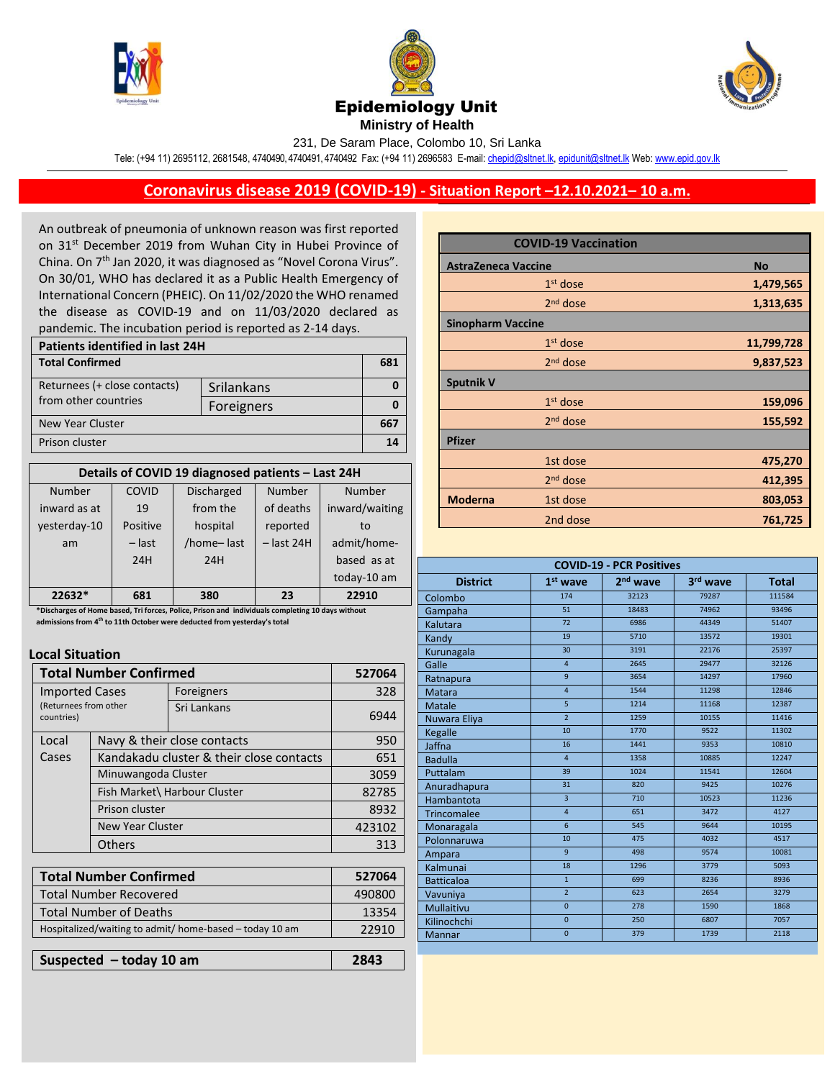





231, De Saram Place, Colombo 10, Sri Lanka

Tele: (+94 11) 2695112, 2681548, 4740490, 4740491, 4740492 Fax: (+94 11) 2696583 E-mail[: chepid@sltnet.lk,](mailto:chepi@sltnet.lk) [epidunit@sltnet.lk](mailto:epidunit@sltnet.lk) Web[: www.epid.gov.lk](http://www.epid.gov.lk/)

## **Coronavirus disease 2019 (COVID-19) - Situation Report –12.10.2021– 10 a.m.**

An outbreak of pneumonia of unknown reason was first reported on 31<sup>st</sup> December 2019 from Wuhan City in Hubei Province of China. On 7<sup>th</sup> Jan 2020, it was diagnosed as "Novel Corona Virus". On 30/01, WHO has declared it as a Public Health Emergency of International Concern (PHEIC). On 11/02/2020 the WHO renamed the disease as COVID-19 and on 11/03/2020 declared as pandemic. The incubation period is reported as 2-14 days.

| <b>Patients identified in last 24H</b> |            |     |  |
|----------------------------------------|------------|-----|--|
| <b>Total Confirmed</b>                 |            | 681 |  |
| Returnees (+ close contacts)           | Srilankans |     |  |
| from other countries                   | Foreigners |     |  |
| New Year Cluster                       |            |     |  |
| Prison cluster                         |            |     |  |

| Details of COVID 19 diagnosed patients - Last 24H |          |                   |              |                |
|---------------------------------------------------|----------|-------------------|--------------|----------------|
| Number                                            | COVID    | <b>Discharged</b> | Number       | Number         |
| inward as at                                      | 19       | from the          | of deaths    | inward/waiting |
| yesterday-10                                      | Positive | hospital          | reported     | to             |
| am                                                | $-$ last | /home-last        | $-$ last 24H | admit/home-    |
|                                                   | 24H      | 24H               |              | based as at    |
|                                                   |          |                   |              | today-10 am    |
| 22632*                                            | 681      | 380               | 23           | 22910          |

 **admissions from 4 th to 11th October were deducted from yesterday's total\*Discharges of Home based, Tri forces, Police, Prison and individuals completing 10 days without** 

## **Local Situation**

| <b>Total Number Confirmed</b>                                |                                          |             | 527064 |
|--------------------------------------------------------------|------------------------------------------|-------------|--------|
| <b>Imported Cases</b><br>(Returnees from other<br>countries) |                                          | Foreigners  | 328    |
|                                                              |                                          | Sri Lankans | 6944   |
| Local                                                        | Navy & their close contacts              |             | 950    |
| Cases                                                        | Kandakadu cluster & their close contacts |             | 651    |
|                                                              | Minuwangoda Cluster                      |             | 3059   |
|                                                              | Fish Market\ Harbour Cluster             |             | 82785  |
|                                                              | Prison cluster                           |             | 8932   |
|                                                              | <b>New Year Cluster</b>                  |             | 423102 |
|                                                              | <b>Others</b>                            |             | 313    |

| <b>Total Number Confirmed</b>                           | 527064 |
|---------------------------------------------------------|--------|
| <b>Total Number Recovered</b>                           | 490800 |
| <b>Total Number of Deaths</b>                           | 13354  |
| Hospitalized/waiting to admit/ home-based - today 10 am | 22910  |
|                                                         |        |

| Suspected - today 10 am | 2843 |
|-------------------------|------|
|                         |      |

|                            | <b>COVID-19 Vaccination</b> |            |
|----------------------------|-----------------------------|------------|
| <b>AstraZeneca Vaccine</b> |                             | <b>No</b>  |
|                            | $1st$ dose                  | 1,479,565  |
|                            | $2nd$ dose                  | 1,313,635  |
| <b>Sinopharm Vaccine</b>   |                             |            |
|                            | $1st$ dose                  | 11,799,728 |
|                            | $2nd$ dose                  | 9,837,523  |
| <b>Sputnik V</b>           |                             |            |
|                            | $1st$ dose                  | 159,096    |
|                            | $2nd$ dose                  | 155,592    |
| <b>Pfizer</b>              |                             |            |
|                            | 1st dose                    | 475,270    |
|                            | $2nd$ dose                  | 412,395    |
| <b>Moderna</b>             | 1st dose                    | 803,053    |
|                            | 2nd dose                    | 761,725    |

| <b>COVID-19 - PCR Positives</b> |                         |                      |          |              |
|---------------------------------|-------------------------|----------------------|----------|--------------|
| <b>District</b>                 | $1st$ wave              | 2 <sup>nd</sup> wave | 3rd wave | <b>Total</b> |
| Colombo                         | 174                     | 32123                | 79287    | 111584       |
| Gampaha                         | 51                      | 18483                | 74962    | 93496        |
| Kalutara                        | 72                      | 6986                 | 44349    | 51407        |
| Kandy                           | 19                      | 5710                 | 13572    | 19301        |
| Kurunagala                      | 30                      | 3191                 | 22176    | 25397        |
| Galle                           | 4                       | 2645                 | 29477    | 32126        |
| Ratnapura                       | 9                       | 3654                 | 14297    | 17960        |
| Matara                          | $\overline{\mathbf{4}}$ | 1544                 | 11298    | 12846        |
| <b>Matale</b>                   | 5                       | 1214                 | 11168    | 12387        |
| Nuwara Eliya                    | $\overline{2}$          | 1259                 | 10155    | 11416        |
| Kegalle                         | 10                      | 1770                 | 9522     | 11302        |
| Jaffna                          | 16                      | 1441                 | 9353     | 10810        |
| <b>Badulla</b>                  | $\overline{4}$          | 1358                 | 10885    | 12247        |
| Puttalam                        | 39                      | 1024                 | 11541    | 12604        |
| Anuradhapura                    | 31                      | 820                  | 9425     | 10276        |
| Hambantota                      | $\overline{\mathbf{3}}$ | 710                  | 10523    | 11236        |
| <b>Trincomalee</b>              | $\overline{4}$          | 651                  | 3472     | 4127         |
| Monaragala                      | $6\overline{6}$         | 545                  | 9644     | 10195        |
| Polonnaruwa                     | 10                      | 475                  | 4032     | 4517         |
| Ampara                          | 9                       | 498                  | 9574     | 10081        |
| Kalmunai                        | 18                      | 1296                 | 3779     | 5093         |
| <b>Batticaloa</b>               | $\overline{1}$          | 699                  | 8236     | 8936         |
| Vavuniya                        | $\overline{2}$          | 623                  | 2654     | 3279         |
| <b>Mullaitivu</b>               | $\overline{0}$          | 278                  | 1590     | 1868         |
| Kilinochchi                     | $\mathbf 0$             | 250                  | 6807     | 7057         |
| <b>Mannar</b>                   | $\overline{0}$          | 379                  | 1739     | 2118         |